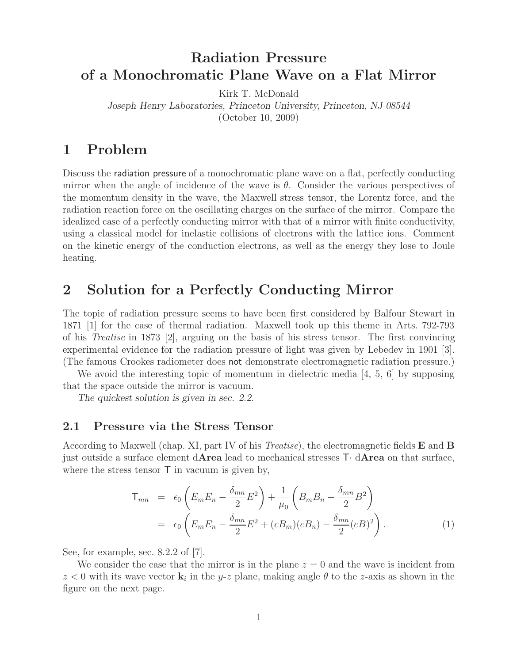# **Radiation Pressure of a Monochromatic Plane Wave on a Flat Mirror**

Kirk T. McDonald

*Joseph Henry Laboratories, Princeton University, Princeton, NJ 08544*

(October 10, 2009)

# **1 Problem**

Discuss the radiation pressure of a monochromatic plane wave on a flat, perfectly conducting mirror when the angle of incidence of the wave is  $\theta$ . Consider the various perspectives of the momentum density in the wave, the Maxwell stress tensor, the Lorentz force, and the radiation reaction force on the oscillating charges on the surface of the mirror. Compare the idealized case of a perfectly conducting mirror with that of a mirror with finite conductivity, using a classical model for inelastic collisions of electrons with the lattice ions. Comment on the kinetic energy of the conduction electrons, as well as the energy they lose to Joule heating.

# **2 Solution for a Perfectly Conducting Mirror**

The topic of radiation pressure seems to have been first considered by Balfour Stewart in 1871 [1] for the case of thermal radiation. Maxwell took up this theme in Arts. 792-793 of his *Treatise* in 1873 [2], arguing on the basis of his stress tensor. The first convincing experimental evidence for the radiation pressure of light was given by Lebedev in 1901 [3]. (The famous Crookes radiometer does not demonstrate electromagnetic radiation pressure.)

We avoid the interesting topic of momentum in dielectric media  $[4, 5, 6]$  by supposing that the space outside the mirror is vacuum.

*The quickest solution is given in sec. 2.2.*

## **2.1 Pressure via the Stress Tensor**

According to Maxwell (chap. XI, part IV of his *Treatise*), the electromagnetic fields **E** and **B** just outside a surface element d**Area** lead to mechanical stresses T· d**Area** on that surface, where the stress tensor  $\mathsf{T}$  in vacuum is given by,

$$
\mathsf{T}_{mn} = \epsilon_0 \left( E_m E_n - \frac{\delta_{mn}}{2} E^2 \right) + \frac{1}{\mu_0} \left( B_m B_n - \frac{\delta_{mn}}{2} B^2 \right)
$$

$$
= \epsilon_0 \left( E_m E_n - \frac{\delta_{mn}}{2} E^2 + (c B_m)(c B_n) - \frac{\delta_{mn}}{2} (c B)^2 \right). \tag{1}
$$

See, for example, sec. 8.2.2 of [7].

We consider the case that the mirror is in the plane  $z = 0$  and the wave is incident from  $z < 0$  with its wave vector **k**<sub>i</sub> in the y-z plane, making angle  $\theta$  to the z-axis as shown in the figure on the next page.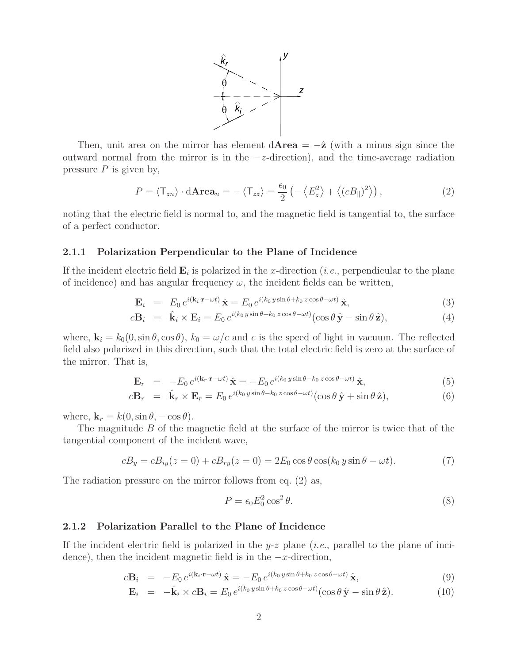

Then, unit area on the mirror has element  $d$ **Area** =  $-\hat{z}$  (with a minus sign since the outward normal from the mirror is in the  $-z$ -direction), and the time-average radiation pressure  $P$  is given by,

$$
P = \langle \mathsf{T}_{zn} \rangle \cdot \mathbf{dArea}_n = -\langle \mathsf{T}_{zz} \rangle = \frac{\epsilon_0}{2} \left( -\left\langle E_z^2 \right\rangle + \left\langle (cB_{\parallel})^2 \right\rangle \right),\tag{2}
$$

noting that the electric field is normal to, and the magnetic field is tangential to, the surface of a perfect conductor.

#### **2.1.1 Polarization Perpendicular to the Plane of Incidence**

If the incident electric field  $\mathbf{E}_i$  is polarized in the x-direction (*i.e.*, perpendicular to the plane of incidence) and has angular frequency  $\omega$ , the incident fields can be written,

$$
\mathbf{E}_{i} = E_{0} e^{i(\mathbf{k}_{i} \cdot \mathbf{r} - \omega t)} \hat{\mathbf{x}} = E_{0} e^{i(k_{0} y \sin \theta + k_{0} z \cos \theta - \omega t)} \hat{\mathbf{x}}, \tag{3}
$$

$$
c\mathbf{B}_i = \hat{\mathbf{k}}_i \times \mathbf{E}_i = E_0 e^{i(k_0 y \sin \theta + k_0 z \cos \theta - \omega t)} (\cos \theta \, \hat{\mathbf{y}} - \sin \theta \, \hat{\mathbf{z}}), \tag{4}
$$

where,  $\mathbf{k}_i = k_0(0, \sin \theta, \cos \theta)$ ,  $k_0 = \omega/c$  and c is the speed of light in vacuum. The reflected field also polarized in this direction, such that the total electric field is zero at the surface of the mirror. That is,

$$
\mathbf{E}_r = -E_0 e^{i(\mathbf{k}_r \cdot \mathbf{r} - \omega t)} \hat{\mathbf{x}} = -E_0 e^{i(k_0 y \sin \theta - k_0 z \cos \theta - \omega t)} \hat{\mathbf{x}},
$$
\n(5)

$$
c\mathbf{B}_r = \hat{\mathbf{k}}_r \times \mathbf{E}_r = E_0 e^{i(k_0 y \sin \theta - k_0 z \cos \theta - \omega t)} (\cos \theta \, \hat{\mathbf{y}} + \sin \theta \, \hat{\mathbf{z}}), \tag{6}
$$

where,  $\mathbf{k}_r = k(0, \sin \theta, -\cos \theta)$ .

The magnitude B of the magnetic field at the surface of the mirror is twice that of the tangential component of the incident wave,

$$
cB_y = cB_{iy}(z=0) + cB_{ry}(z=0) = 2E_0 \cos \theta \cos(k_0 y \sin \theta - \omega t).
$$
 (7)

The radiation pressure on the mirror follows from eq. (2) as,

$$
P = \epsilon_0 E_0^2 \cos^2 \theta. \tag{8}
$$

### **2.1.2 Polarization Parallel to the Plane of Incidence**

If the incident electric field is polarized in the y-z plane (*i.e.*, parallel to the plane of incidence), then the incident magnetic field is in the  $-x$ -direction,

$$
c\mathbf{B}_{i} = -E_{0} e^{i(\mathbf{k}_{i} \cdot \mathbf{r} - \omega t)} \hat{\mathbf{x}} = -E_{0} e^{i(k_{0} y \sin \theta + k_{0} z \cos \theta - \omega t)} \hat{\mathbf{x}}, \tag{9}
$$

$$
\mathbf{E}_i = -\hat{\mathbf{k}}_i \times c\mathbf{B}_i = E_0 e^{i(k_0 y \sin \theta + k_0 z \cos \theta - \omega t)} (\cos \theta \, \hat{\mathbf{y}} - \sin \theta \, \hat{\mathbf{z}}).
$$
 (10)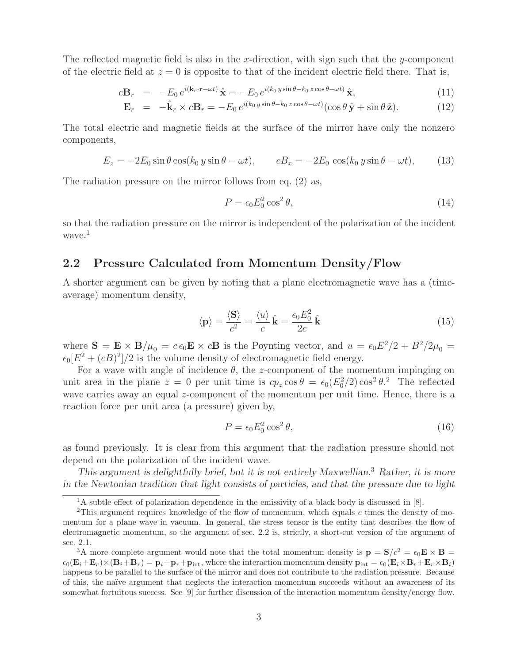The reflected magnetic field is also in the x-direction, with sign such that the y-component of the electric field at  $z = 0$  is opposite to that of the incident electric field there. That is,

$$
c\mathbf{B}_r = -E_0 e^{i(\mathbf{k}_r \cdot \mathbf{r} - \omega t)} \hat{\mathbf{x}} = -E_0 e^{i(k_0 y \sin \theta - k_0 z \cos \theta - \omega t)} \hat{\mathbf{x}},\tag{11}
$$

$$
\mathbf{E}_r = -\hat{\mathbf{k}}_r \times c\mathbf{B}_r = -E_0 e^{i(k_0 y \sin \theta - k_0 z \cos \theta - \omega t)} (\cos \theta \,\hat{\mathbf{y}} + \sin \theta \,\hat{\mathbf{z}}).
$$
 (12)

The total electric and magnetic fields at the surface of the mirror have only the nonzero components,

$$
E_z = -2E_0 \sin \theta \cos(k_0 y \sin \theta - \omega t), \qquad c_1 = -2E_0 \cos(k_0 y \sin \theta - \omega t), \qquad (13)
$$

The radiation pressure on the mirror follows from eq. (2) as,

$$
P = \epsilon_0 E_0^2 \cos^2 \theta,\tag{14}
$$

so that the radiation pressure on the mirror is independent of the polarization of the incident  $wave.<sup>1</sup>$ 

## **2.2 Pressure Calculated from Momentum Density/Flow**

A shorter argument can be given by noting that a plane electromagnetic wave has a (timeaverage) momentum density,

$$
\langle \mathbf{p} \rangle = \frac{\langle \mathbf{S} \rangle}{c^2} = \frac{\langle u \rangle}{c} \hat{\mathbf{k}} = \frac{\epsilon_0 E_0^2}{2c} \hat{\mathbf{k}} \tag{15}
$$

where  $\mathbf{S} = \mathbf{E} \times \mathbf{B}/\mu_0 = c \epsilon_0 \mathbf{E} \times c \mathbf{B}$  is the Poynting vector, and  $u = \epsilon_0 E^2/2 + B^2/2\mu_0 =$  $\epsilon_0[E^2 + (cB)^2]/2$  is the volume density of electromagnetic field energy.

For a wave with angle of incidence  $\theta$ , the z-component of the momentum impinging on unit area in the plane  $z = 0$  per unit time is  $cp_z \cos \theta = \epsilon_0 (E_0^2/2) \cos^2 \theta$ .<sup>2</sup> The reflected wave carries away an equal z-component of the momentum per unit time. Hence, there is a reaction force per unit area (a pressure) given by,

$$
P = \epsilon_0 E_0^2 \cos^2 \theta,\tag{16}
$$

as found previously. It is clear from this argument that the radiation pressure should not depend on the polarization of the incident wave.

*This argument is delightfully brief, but it is not entirely Maxwellian.*<sup>3</sup> *Rather, it is more in the Newtonian tradition that light consists of particles, and that the pressure due to light*

 $1<sup>1</sup>A$  subtle effect of polarization dependence in the emissivity of a black body is discussed in [8].

<sup>&</sup>lt;sup>2</sup>This argument requires knowledge of the flow of momentum, which equals c times the density of momentum for a plane wave in vacuum. In general, the stress tensor is the entity that describes the flow of electromagnetic momentum, so the argument of sec. 2.2 is, strictly, a short-cut version of the argument of sec. 2.1.

<sup>&</sup>lt;sup>3</sup>A more complete argument would note that the total momentum density is  $\mathbf{p} = \mathbf{S}/c^2 = \epsilon_0 \mathbf{E} \times \mathbf{B}$  $\epsilon_0(\mathbf{E}_i+\mathbf{E}_r)\times(\mathbf{B}_i+\mathbf{B}_r)=\mathbf{p}_i+\mathbf{p}_r+\mathbf{p}_{\text{int}}$ , where the interaction momentum density  $\mathbf{p}_{\text{int}}=\epsilon_0(\mathbf{E}_i\times\mathbf{B}_r+\mathbf{E}_r\times\mathbf{B}_i)$ happens to be parallel to the surface of the mirror and does not contribute to the radiation pressure. Because of this, the na¨ıve argument that neglects the interaction momentum succeeds without an awareness of its somewhat fortuitous success. See [9] for further discussion of the interaction momentum density/energy flow.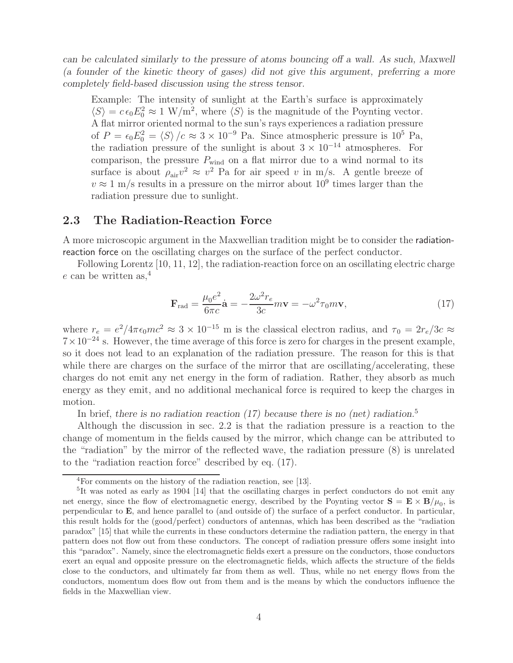*can be calculated similarly to the pressure of atoms bouncing off a wall. As such, Maxwell (a founder of the kinetic theory of gases) did not give this argument, preferring a more completely field-based discussion using the stress tensor.*

Example: The intensity of sunlight at the Earth's surface is approximately  $\langle S \rangle = c \epsilon_0 E_0^2 \approx 1 \text{ W/m}^2$ , where  $\langle S \rangle$  is the magnitude of the Poynting vector. A flat mirror oriented normal to the sun's rays experiences a radiation pressure of  $P = \epsilon_0 E_0^2 = \langle S \rangle / c \approx 3 \times 10^{-9}$  Pa. Since atmospheric pressure is  $10^5$  Pa, the radiation pressure of the sunlight is about  $3 \times 10^{-14}$  atmospheres. For comparison, the pressure  $P_{wind}$  on a flat mirror due to a wind normal to its surface is about  $\rho_{\text{air}}v^2 \approx v^2$  Pa for air speed v in m/s. A gentle breeze of  $v \approx 1$  m/s results in a pressure on the mirror about  $10^9$  times larger than the radiation pressure due to sunlight.

## **2.3 The Radiation-Reaction Force**

A more microscopic argument in the Maxwellian tradition might be to consider the radiationreaction force on the oscillating charges on the surface of the perfect conductor.

Following Lorentz [10, 11, 12], the radiation-reaction force on an oscillating electric charge e can be written as,  $4$ 

$$
\mathbf{F}_{\rm rad} = \frac{\mu_0 e^2}{6\pi c} \dot{\mathbf{a}} = -\frac{2\omega^2 r_e}{3c} m \mathbf{v} = -\omega^2 \tau_0 m \mathbf{v},\tag{17}
$$

where  $r_e = e^2/4\pi\epsilon_0 mc^2 \approx 3 \times 10^{-15}$  m is the classical electron radius, and  $\tau_0 = 2r_e/3c \approx 7 \times 10^{-24}$  s. However, the time average of this force is zero for charges in the present example, so it does not lead to an explanation of the radiation pressure. The reason for this is that while there are charges on the surface of the mirror that are oscillating/accelerating, these charges do not emit any net energy in the form of radiation. Rather, they absorb as much energy as they emit, and no additional mechanical force is required to keep the charges in motion.

In brief, *there is no radiation reaction (17) because there is no (net) radiation.*<sup>5</sup>

Although the discussion in sec. 2.2 is that the radiation pressure is a reaction to the change of momentum in the fields caused by the mirror, which change can be attributed to the "radiation" by the mirror of the reflected wave, the radiation pressure (8) is unrelated to the "radiation reaction force" described by eq. (17).

<sup>4</sup>For comments on the history of the radiation reaction, see [13].

<sup>5</sup>It was noted as early as 1904 [14] that the oscillating charges in perfect conductors do not emit any net energy, since the flow of electromagnetic energy, described by the Poynting vector  $\mathbf{S} = \mathbf{E} \times \mathbf{B}/\mu_0$ , is perpendicular to **E**, and hence parallel to (and outside of) the surface of a perfect conductor. In particular, this result holds for the (good/perfect) conductors of antennas, which has been described as the "radiation paradox" [15] that while the currents in these conductors determine the radiation pattern, the energy in that pattern does not flow out from these conductors. The concept of radiation pressure offers some insight into this "paradox". Namely, since the electromagnetic fields exert a pressure on the conductors, those conductors exert an equal and opposite pressure on the electromagnetic fields, which affects the structure of the fields close to the conductors, and ultimately far from them as well. Thus, while no net energy flows from the conductors, momentum does flow out from them and is the means by which the conductors influence the fields in the Maxwellian view.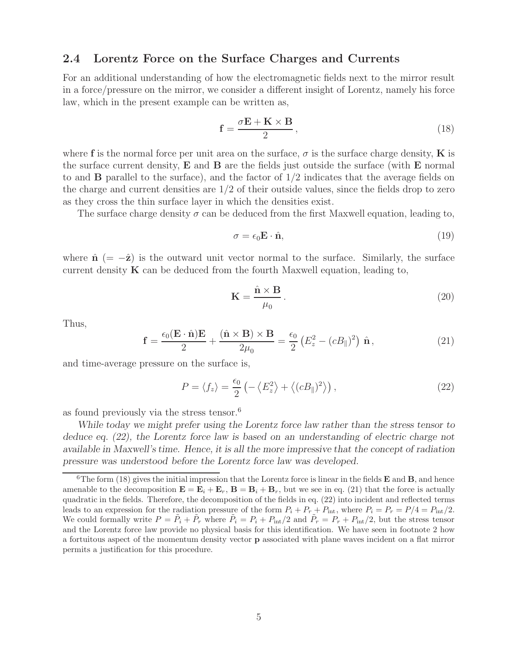## **2.4 Lorentz Force on the Surface Charges and Currents**

For an additional understanding of how the electromagnetic fields next to the mirror result in a force/pressure on the mirror, we consider a different insight of Lorentz, namely his force law, which in the present example can be written as,

$$
\mathbf{f} = \frac{\sigma \mathbf{E} + \mathbf{K} \times \mathbf{B}}{2},\tag{18}
$$

where **f** is the normal force per unit area on the surface,  $\sigma$  is the surface charge density, **K** is the surface current density, **E** and **B** are the fields just outside the surface (with **E** normal to and **B** parallel to the surface), and the factor of 1/2 indicates that the average fields on the charge and current densities are  $1/2$  of their outside values, since the fields drop to zero as they cross the thin surface layer in which the densities exist.

The surface charge density  $\sigma$  can be deduced from the first Maxwell equation, leading to,

$$
\sigma = \epsilon_0 \mathbf{E} \cdot \hat{\mathbf{n}},\tag{19}
$$

where  $\hat{\mathbf{n}}$  (=  $-\hat{\mathbf{z}}$ ) is the outward unit vector normal to the surface. Similarly, the surface current density  $\bf{K}$  can be deduced from the fourth Maxwell equation, leading to,

$$
\mathbf{K} = \frac{\hat{\mathbf{n}} \times \mathbf{B}}{\mu_0}.
$$
 (20)

Thus,

$$
\mathbf{f} = \frac{\epsilon_0 (\mathbf{E} \cdot \hat{\mathbf{n}}) \mathbf{E}}{2} + \frac{(\hat{\mathbf{n}} \times \mathbf{B}) \times \mathbf{B}}{2\mu_0} = \frac{\epsilon_0}{2} \left( E_z^2 - (cB_{\parallel})^2 \right) \hat{\mathbf{n}}, \tag{21}
$$

and time-average pressure on the surface is,

$$
P = \langle f_z \rangle = \frac{\epsilon_0}{2} \left( - \left\langle E_z^2 \right\rangle + \left\langle (cB_{\parallel})^2 \right\rangle \right),\tag{22}
$$

as found previously via the stress tensor.<sup>6</sup>

*While today we might prefer using the Lorentz force law rather than the stress tensor to deduce eq. (22), the Lorentz force law is based on an understanding of electric charge not available in Maxwell's time. Hence, it is all the more impressive that the concept of radiation pressure was understood before the Lorentz force law was developed.*

 ${}^6$ The form (18) gives the initial impression that the Lorentz force is linear in the fields **E** and **B**, and hence amenable to the decomposition  $\mathbf{E} = \mathbf{E}_i + \mathbf{E}_r$ ,  $\mathbf{B} = \mathbf{B}_i + \mathbf{B}_r$ , but we see in eq. (21) that the force is actually quadratic in the fields. Therefore, the decomposition of the fields in eq. (22) into incident and reflected terms leads to an expression for the radiation pressure of the form  $P_i + P_r + P_{\text{int}}$ , where  $P_i = P_r = P/4 = P_{\text{int}}/2$ . We could formally write  $P = \tilde{P}_i + \tilde{P}_r$  where  $\tilde{P}_i = P_i + P_{\text{int}}/2$  and  $\tilde{P}_r = P_r + P_{\text{int}}/2$ , but the stress tensor and the Lorentz force law provide no physical basis for this identification. We have seen in footnote 2 how a fortuitous aspect of the momentum density vector **p** associated with plane waves incident on a flat mirror permits a justification for this procedure.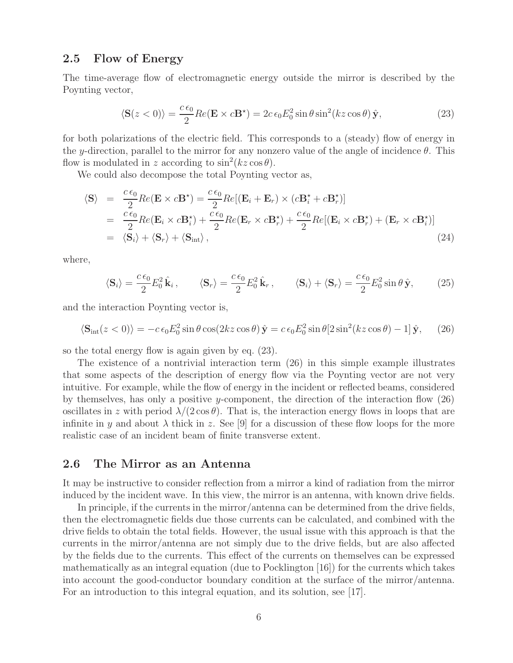## **2.5 Flow of Energy**

The time-average flow of electromagnetic energy outside the mirror is described by the Poynting vector,

$$
\langle \mathbf{S}(z<0) \rangle = \frac{c \epsilon_0}{2} Re(\mathbf{E} \times c\mathbf{B}^*) = 2c \epsilon_0 E_0^2 \sin \theta \sin^2(kz \cos \theta) \hat{\mathbf{y}},
$$
(23)

for both polarizations of the electric field. This corresponds to a (steady) flow of energy in the y-direction, parallel to the mirror for any nonzero value of the angle of incidence  $\theta$ . This flow is modulated in z according to  $\sin^2(kz\cos\theta)$ .

We could also decompose the total Poynting vector as,

$$
\langle \mathbf{S} \rangle = \frac{c \epsilon_0}{2} Re(\mathbf{E} \times c \mathbf{B}^*) = \frac{c \epsilon_0}{2} Re[(\mathbf{E}_i + \mathbf{E}_r) \times (c \mathbf{B}_i^* + c \mathbf{B}_r^*)]
$$
  
\n
$$
= \frac{c \epsilon_0}{2} Re(\mathbf{E}_i \times c \mathbf{B}_i^*) + \frac{c \epsilon_0}{2} Re(\mathbf{E}_r \times c \mathbf{B}_r^*) + \frac{c \epsilon_0}{2} Re[(\mathbf{E}_i \times c \mathbf{B}_r^*) + (\mathbf{E}_r \times c \mathbf{B}_i^*)]
$$
  
\n
$$
= \langle \mathbf{S}_i \rangle + \langle \mathbf{S}_r \rangle + \langle \mathbf{S}_{int} \rangle, \tag{24}
$$

where,

$$
\langle \mathbf{S}_i \rangle = \frac{c \epsilon_0}{2} E_0^2 \hat{\mathbf{k}}_i, \qquad \langle \mathbf{S}_r \rangle = \frac{c \epsilon_0}{2} E_0^2 \hat{\mathbf{k}}_r, \qquad \langle \mathbf{S}_i \rangle + \langle \mathbf{S}_r \rangle = \frac{c \epsilon_0}{2} E_0^2 \sin \theta \hat{\mathbf{y}}, \qquad (25)
$$

and the interaction Poynting vector is,

$$
\langle \mathbf{S}_{\rm int}(z<0) \rangle = -c \epsilon_0 E_0^2 \sin \theta \cos(2kz \cos \theta) \hat{\mathbf{y}} = c \epsilon_0 E_0^2 \sin \theta [2 \sin^2(kz \cos \theta) - 1] \hat{\mathbf{y}}, \quad (26)
$$

so the total energy flow is again given by eq. (23).

The existence of a nontrivial interaction term (26) in this simple example illustrates that some aspects of the description of energy flow via the Poynting vector are not very intuitive. For example, while the flow of energy in the incident or reflected beams, considered by themselves, has only a positive y-component, the direction of the interaction flow (26) oscillates in z with period  $\lambda/(2 \cos \theta)$ . That is, the interaction energy flows in loops that are infinite in y and about  $\lambda$  thick in z. See [9] for a discussion of these flow loops for the more realistic case of an incident beam of finite transverse extent.

## **2.6 The Mirror as an Antenna**

It may be instructive to consider reflection from a mirror a kind of radiation from the mirror induced by the incident wave. In this view, the mirror is an antenna, with known drive fields.

In principle, if the currents in the mirror/antenna can be determined from the drive fields, then the electromagnetic fields due those currents can be calculated, and combined with the drive fields to obtain the total fields. However, the usual issue with this approach is that the currents in the mirror/antenna are not simply due to the drive fields, but are also affected by the fields due to the currents. This effect of the currents on themselves can be expressed mathematically as an integral equation (due to Pocklington [16]) for the currents which takes into account the good-conductor boundary condition at the surface of the mirror/antenna. For an introduction to this integral equation, and its solution, see [17].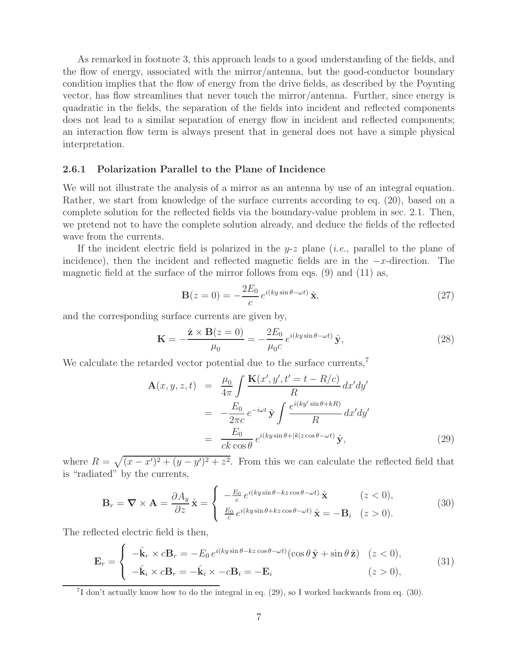As remarked in footnote 3, this approach leads to a good understanding of the fields, and the flow of energy, associated with the mirror/antenna, but the good-conductor boundary condition implies that the flow of energy from the drive fields, as described by the Poynting vector, has flow streamlines that never touch the mirror/antenna. Further, since energy is quadratic in the fields, the separation of the fields into incident and reflected components does not lead to a similar separation of energy flow in incident and reflected components; an interaction flow term is always present that in general does not have a simple physical interpretation.

#### **2.6.1 Polarization Parallel to the Plane of Incidence**

We will not illustrate the analysis of a mirror as an antenna by use of an integral equation. Rather, we start from knowledge of the surface currents according to eq. (20), based on a complete solution for the reflected fields via the boundary-value problem in sec. 2.1. Then, we pretend not to have the complete solution already, and deduce the fields of the reflected wave from the currents.

If the incident electric field is polarized in the y-z plane (*i.e.*, parallel to the plane of incidence), then the incident and reflected magnetic fields are in the  $-x$ -direction. The magnetic field at the surface of the mirror follows from eqs. (9) and (11) as,

$$
\mathbf{B}(z=0) = -\frac{2E_0}{c} e^{i(ky\sin\theta - \omega t)} \hat{\mathbf{x}},\tag{27}
$$

and the corresponding surface currents are given by,

$$
\mathbf{K} = -\frac{\hat{\mathbf{z}} \times \mathbf{B}(z=0)}{\mu_0} = -\frac{2E_0}{\mu_0 c} e^{i(ky\sin\theta - \omega t)} \hat{\mathbf{y}},\tag{28}
$$

We calculate the retarded vector potential due to the surface currents,<sup>7</sup>

$$
\mathbf{A}(x, y, z, t) = \frac{\mu_0}{4\pi} \int \frac{\mathbf{K}(x', y', t' = t - R/c)}{R} dx'dy'
$$
  

$$
= -\frac{E_0}{2\pi c} e^{-i\omega t} \hat{\mathbf{y}} \int \frac{e^{i(ky'\sin\theta + kR)}}{R} dx'dy'
$$
  

$$
= \frac{E_0}{ck\cos\theta} e^{i(ky\sin\theta + |k|z\cos\theta - \omega t)} \hat{\mathbf{y}},
$$
 (29)

where  $R = \sqrt{(x-x')^2 + (y-y')^2 + z^2}$ . From this we can calculate the reflected field that is "radiated" by the currents,

$$
\mathbf{B}_{r} = \nabla \times \mathbf{A} = \frac{\partial A_{y}}{\partial z} \hat{\mathbf{x}} = \begin{cases} -\frac{E_{0}}{c} e^{i(ky\sin\theta - kz\cos\theta - \omega t)} \hat{\mathbf{x}} & (z < 0),\\ \frac{E_{0}}{c} e^{i(ky\sin\theta + kz\cos\theta - \omega t)} \hat{\mathbf{x}} = -\mathbf{B}_{i} & (z > 0). \end{cases} \tag{30}
$$

The reflected electric field is then,

$$
\mathbf{E}_r = \begin{cases}\n-\hat{\mathbf{k}}_r \times c\mathbf{B}_r = -E_0 e^{i(ky\sin\theta - kz\cos\theta - \omega t)}(\cos\theta \,\hat{\mathbf{y}} + \sin\theta \,\hat{\mathbf{z}}) & (z < 0), \\
-\hat{\mathbf{k}}_i \times c\mathbf{B}_r = -\hat{\mathbf{k}}_i \times -c\mathbf{B}_i = -\mathbf{E}_i & (z > 0),\n\end{cases}
$$
\n(31)

 $^{7}I$  don't actually know how to do the integral in eq. (29), so I worked backwards from eq. (30).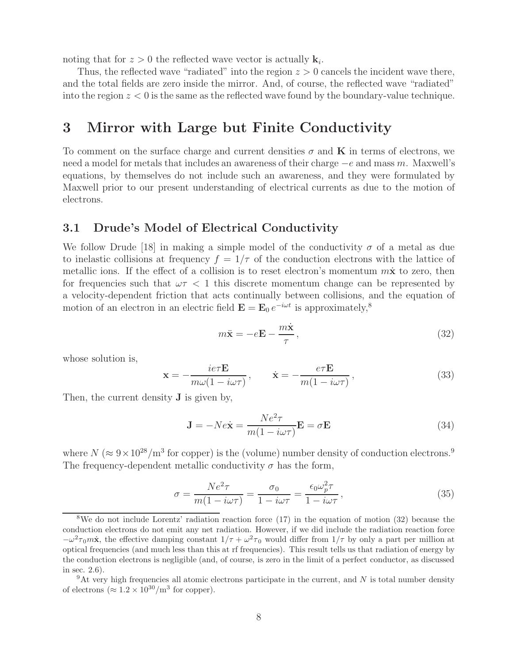noting that for  $z > 0$  the reflected wave vector is actually  $\mathbf{k}_i$ .

Thus, the reflected wave "radiated" into the region  $z > 0$  cancels the incident wave there, and the total fields are zero inside the mirror. And, of course, the reflected wave "radiated" into the region  $z < 0$  is the same as the reflected wave found by the boundary-value technique.

## **3 Mirror with Large but Finite Conductivity**

To comment on the surface charge and current densities  $\sigma$  and **K** in terms of electrons, we need a model for metals that includes an awareness of their charge −e and mass m. Maxwell's equations, by themselves do not include such an awareness, and they were formulated by Maxwell prior to our present understanding of electrical currents as due to the motion of electrons.

## **3.1 Drude's Model of Electrical Conductivity**

We follow Drude [18] in making a simple model of the conductivity  $\sigma$  of a metal as due to inelastic collisions at frequency  $f = 1/\tau$  of the conduction electrons with the lattice of metallic ions. If the effect of a collision is to reset electron's momentum  $m\dot{x}$  to zero, then for frequencies such that  $\omega \tau < 1$  this discrete momentum change can be represented by a velocity-dependent friction that acts continually between collisions, and the equation of motion of an electron in an electric field  $\mathbf{E} = \mathbf{E}_0 e^{-i\omega t}$  is approximately,<sup>8</sup>

$$
m\ddot{\mathbf{x}} = -e\mathbf{E} - \frac{m\dot{\mathbf{x}}}{\tau},\qquad(32)
$$

whose solution is,

$$
\mathbf{x} = -\frac{ie\tau \mathbf{E}}{m\omega(1 - i\omega\tau)}, \qquad \dot{\mathbf{x}} = -\frac{e\tau \mathbf{E}}{m(1 - i\omega\tau)},
$$
(33)

Then, the current density **J** is given by,

$$
\mathbf{J} = -N e \dot{\mathbf{x}} = \frac{N e^2 \tau}{m(1 - i\omega \tau)} \mathbf{E} = \sigma \mathbf{E}
$$
 (34)

where  $N (\approx 9 \times 10^{28} / \text{m}^3$  for copper) is the (volume) number density of conduction electrons.<sup>9</sup> The frequency-dependent metallic conductivity  $\sigma$  has the form,

$$
\sigma = \frac{Ne^2 \tau}{m(1 - i\omega \tau)} = \frac{\sigma_0}{1 - i\omega \tau} = \frac{\epsilon_0 \omega_p^2 \tau}{1 - i\omega \tau},
$$
\n(35)

<sup>8</sup>We do not include Lorentz' radiation reaction force (17) in the equation of motion (32) because the conduction electrons do not emit any net radiation. However, if we did include the radiation reaction force  $-\omega^2\tau_0 m\dot{x}$ , the effective damping constant  $1/\tau + \omega^2\tau_0$  would differ from  $1/\tau$  by only a part per million at optical frequencies (and much less than this at rf frequencies). This result tells us that radiation of energy by the conduction electrons is negligible (and, of course, is zero in the limit of a perfect conductor, as discussed in sec. 2.6).

 $9$ At very high frequencies all atomic electrons participate in the current, and N is total number density of electrons ( $\approx 1.2 \times 10^{30}$ /m<sup>3</sup> for copper).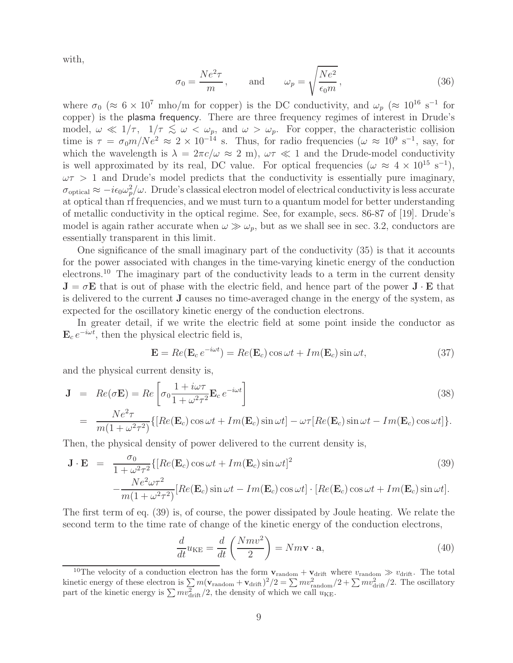with,

$$
\sigma_0 = \frac{Ne^2 \tau}{m}, \quad \text{and} \quad \omega_p = \sqrt{\frac{Ne^2}{\epsilon_0 m}}, \tag{36}
$$

where  $\sigma_0$  ( $\approx 6 \times 10^7$  mho/m for copper) is the DC conductivity, and  $\omega_p$  ( $\approx 10^{16}$  s<sup>-1</sup> for copper) is the plasma frequency. There are three frequency regimes of interest in Drude's model,  $\omega \ll 1/\tau$ ,  $1/\tau \lesssim \omega < \omega_p$ , and  $\omega > \omega_p$ . For copper, the characteristic collision time is  $\tau = \sigma_0 m/Ne^2 \approx 2 \times 10^{-14}$  s. Thus, for radio frequencies  $(\omega \approx 10^9 \text{ s}^{-1}, \text{ say, for})$ which the wavelength is  $\lambda = 2\pi c/\omega \approx 2 \text{ m}$ ,  $\omega \tau \ll 1$  and the Drude-model conductivity is well approximated by its real, DC value. For optical frequencies ( $\omega \approx 4 \times 10^{15} \text{ s}^{-1}$ ),  $\omega \tau > 1$  and Drude's model predicts that the conductivity is essentially pure imaginary,  $\sigma_{\text{optical}} \approx -i\epsilon_0 \omega_p^2/\omega$ . Drude's classical electron model of electrical conductivity is less accurate at optical than rf frequencies, and we must turn to a quantum model for better understanding of metallic conductivity in the optical regime. See, for example, secs. 86-87 of [19]. Drude's model is again rather accurate when  $\omega \gg \omega_p$ , but as we shall see in sec. 3.2, conductors are essentially transparent in this limit.

One significance of the small imaginary part of the conductivity (35) is that it accounts for the power associated with changes in the time-varying kinetic energy of the conduction electrons.<sup>10</sup> The imaginary part of the conductivity leads to a term in the current density  $J = \sigma E$  that is out of phase with the electric field, and hence part of the power  $J \cdot E$  that is delivered to the current **J** causes no time-averaged change in the energy of the system, as expected for the oscillatory kinetic energy of the conduction electrons.

In greater detail, if we write the electric field at some point inside the conductor as  $\mathbf{E}_c e^{-i\omega t}$ , then the physical electric field is,

$$
\mathbf{E} = Re(\mathbf{E}_c e^{-i\omega t}) = Re(\mathbf{E}_c) \cos \omega t + Im(\mathbf{E}_c) \sin \omega t, \qquad (37)
$$

and the physical current density is,

$$
\mathbf{J} = Re(\sigma \mathbf{E}) = Re \left[ \sigma_0 \frac{1 + i\omega \tau}{1 + \omega^2 \tau^2} \mathbf{E}_c e^{-i\omega t} \right]
$$
(38)  

$$
= \frac{Ne^2 \tau}{m(1 + \omega^2 \tau^2)} \{ [Re(\mathbf{E}_c) \cos \omega t + Im(\mathbf{E}_c) \sin \omega t] - \omega \tau [Re(\mathbf{E}_c) \sin \omega t - Im(\mathbf{E}_c) \cos \omega t] \}.
$$

Then, the physical density of power delivered to the current density is,

$$
\mathbf{J} \cdot \mathbf{E} = \frac{\sigma_0}{1 + \omega^2 \tau^2} \{ [Re(\mathbf{E}_c) \cos \omega t + Im(\mathbf{E}_c) \sin \omega t]^2 - \frac{Ne^2 \omega \tau^2}{m(1 + \omega^2 \tau^2)} [Re(\mathbf{E}_c) \sin \omega t - Im(\mathbf{E}_c) \cos \omega t] \cdot [Re(\mathbf{E}_c) \cos \omega t + Im(\mathbf{E}_c) \sin \omega t].
$$
\n(39)

The first term of eq. (39) is, of course, the power dissipated by Joule heating. We relate the second term to the time rate of change of the kinetic energy of the conduction electrons,

$$
\frac{d}{dt}u_{KE} = \frac{d}{dt}\left(\frac{Nmv^2}{2}\right) = Nm\mathbf{v}\cdot\mathbf{a},\tag{40}
$$

<sup>&</sup>lt;sup>10</sup>The velocity of a conduction electron has the form  $\mathbf{v}_{random} + \mathbf{v}_{drift}$  where  $v_{random} \gg v_{drift}$ . The total kinetic energy of these electron is  $\sum m(\mathbf{v}_{\text{random}} + \mathbf{v}_{\text{drift}})^2/2 = \sum m v_{\text{random}}^2/2 + \sum m v_{\text{drift}}^2/2$ . The oscillatory part of the kinetic energy is  $\sum mv_{\rm drift}^2/2$ , the density of which we call  $u_{\rm KE}$ .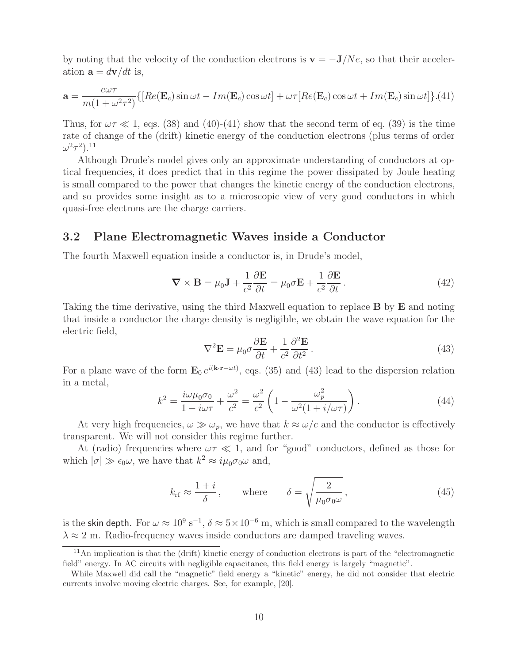by noting that the velocity of the conduction electrons is  $\mathbf{v} = -\mathbf{J}/Ne$ , so that their acceleration  $\mathbf{a} = d\mathbf{v}/dt$  is,

$$
\mathbf{a} = \frac{e\omega\tau}{m(1 + \omega^2\tau^2)} \{ [Re(\mathbf{E}_c)\sin\omega t - Im(\mathbf{E}_c)\cos\omega t] + \omega\tau [Re(\mathbf{E}_c)\cos\omega t + Im(\mathbf{E}_c)\sin\omega t] \} . (41)
$$

Thus, for  $\omega \tau \ll 1$ , eqs. (38) and (40)-(41) show that the second term of eq. (39) is the time rate of change of the (drift) kinetic energy of the conduction electrons (plus terms of order  $\omega^2 \tau^2$ ).<sup>11</sup>

Although Drude's model gives only an approximate understanding of conductors at optical frequencies, it does predict that in this regime the power dissipated by Joule heating is small compared to the power that changes the kinetic energy of the conduction electrons, and so provides some insight as to a microscopic view of very good conductors in which quasi-free electrons are the charge carriers.

## **3.2 Plane Electromagnetic Waves inside a Conductor**

The fourth Maxwell equation inside a conductor is, in Drude's model,

$$
\nabla \times \mathbf{B} = \mu_0 \mathbf{J} + \frac{1}{c^2} \frac{\partial \mathbf{E}}{\partial t} = \mu_0 \sigma \mathbf{E} + \frac{1}{c^2} \frac{\partial \mathbf{E}}{\partial t}.
$$
 (42)

Taking the time derivative, using the third Maxwell equation to replace **B** by **E** and noting that inside a conductor the charge density is negligible, we obtain the wave equation for the electric field,

$$
\nabla^2 \mathbf{E} = \mu_0 \sigma \frac{\partial \mathbf{E}}{\partial t} + \frac{1}{c^2} \frac{\partial^2 \mathbf{E}}{\partial t^2}.
$$
 (43)

For a plane wave of the form  $\mathbf{E}_0 e^{i(\mathbf{k}\cdot\mathbf{r}-\omega t)}$ , eqs. (35) and (43) lead to the dispersion relation in a metal,

$$
k^2 = \frac{i\omega\mu_0\sigma_0}{1 - i\omega\tau} + \frac{\omega^2}{c^2} = \frac{\omega^2}{c^2} \left( 1 - \frac{\omega_p^2}{\omega^2(1 + i/\omega\tau)} \right). \tag{44}
$$

At very high frequencies,  $\omega \gg \omega_p$ , we have that  $k \approx \omega/c$  and the conductor is effectively transparent. We will not consider this regime further.

At (radio) frequencies where  $\omega \tau \ll 1$ , and for "good" conductors, defined as those for which  $|\sigma| \gg \epsilon_0 \omega$ , we have that  $k^2 \approx i \mu_0 \sigma_0 \omega$  and,

$$
k_{\text{rf}} \approx \frac{1+i}{\delta}, \quad \text{where} \quad \delta = \sqrt{\frac{2}{\mu_0 \sigma_0 \omega}},
$$
 (45)

is the skin depth. For  $\omega \approx 10^9 \text{ s}^{-1}$ ,  $\delta \approx 5 \times 10^{-6} \text{ m}$ , which is small compared to the wavelength  $\lambda \approx 2$  m. Radio-frequency waves inside conductors are damped traveling waves.

 $\frac{11}{11}$ An implication is that the (drift) kinetic energy of conduction electrons is part of the "electromagnetic field" energy. In AC circuits with negligible capacitance, this field energy is largely "magnetic".

While Maxwell did call the "magnetic" field energy a "kinetic" energy, he did not consider that electric currents involve moving electric charges. See, for example, [20].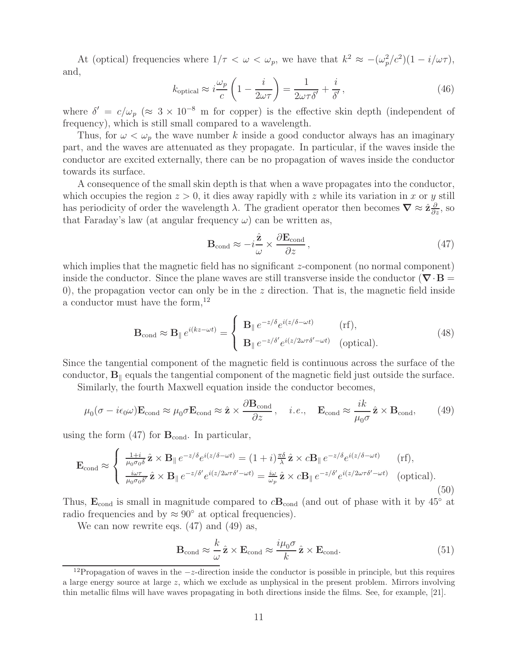At (optical) frequencies where  $1/\tau < \omega < \omega_p$ , we have that  $k^2 \approx -(\omega_p^2/c^2)(1 - i/\omega\tau)$ , and,

$$
k_{\text{optical}} \approx i \frac{\omega_p}{c} \left( 1 - \frac{i}{2\omega\tau} \right) = \frac{1}{2\omega\tau\delta'} + \frac{i}{\delta'},\tag{46}
$$

where  $\delta' = c/\omega_p$  ( $\approx 3 \times 10^{-8}$  m for copper) is the effective skin depth (independent of frequency), which is still small compared to a wavelength.

Thus, for  $\omega < \omega_p$  the wave number k inside a good conductor always has an imaginary part, and the waves are attenuated as they propagate. In particular, if the waves inside the conductor are excited externally, there can be no propagation of waves inside the conductor towards its surface.

A consequence of the small skin depth is that when a wave propagates into the conductor, which occupies the region  $z > 0$ , it dies away rapidly with z while its variation in x or y still has periodicity of order the wavelength  $\lambda$ . The gradient operator then becomes  $\nabla \approx \hat{\mathbf{z}} \frac{\partial}{\partial z}$ , so that Faraday's law (at angular frequency  $\omega$ ) can be written as that Faraday's law (at angular frequency  $\omega$ ) can be written as,

$$
\mathbf{B}_{\text{cond}} \approx -i\frac{\hat{\mathbf{z}}}{\omega} \times \frac{\partial \mathbf{E}_{\text{cond}}}{\partial z},\tag{47}
$$

which implies that the magnetic field has no significant  $z$ -component (no normal component) inside the conductor. Since the plane waves are still transverse inside the conductor ( $\nabla \cdot \mathbf{B} =$ 0), the propagation vector can only be in the z direction. That is, the magnetic field inside a conductor must have the form,  $12$ 

$$
\mathbf{B}_{\text{cond}} \approx \mathbf{B}_{\parallel} e^{i(kz - \omega t)} = \begin{cases} \mathbf{B}_{\parallel} e^{-z/\delta} e^{i(z/\delta - \omega t)} & (\text{rf}), \\ \mathbf{B}_{\parallel} e^{-z/\delta'} e^{i(z/2\omega \tau \delta' - \omega t)} & (\text{optical}). \end{cases}
$$
(48)

Since the tangential component of the magnetic field is continuous across the surface of the conductor,  $\mathbf{B}_{\parallel}$  equals the tangential component of the magnetic field just outside the surface.

Similarly, the fourth Maxwell equation inside the conductor becomes,

$$
\mu_0(\sigma - i\epsilon_0 \omega) \mathbf{E}_{\text{cond}} \approx \mu_0 \sigma \mathbf{E}_{\text{cond}} \approx \hat{\mathbf{z}} \times \frac{\partial \mathbf{B}_{\text{cond}}}{\partial z}, \quad i.e., \quad \mathbf{E}_{\text{cond}} \approx \frac{ik}{\mu_0 \sigma} \hat{\mathbf{z}} \times \mathbf{B}_{\text{cond}}, \tag{49}
$$

using the form  $(47)$  for  $\mathbf{B}_{\text{cond}}$ . In particular,

$$
\mathbf{E}_{\text{cond}} \approx \begin{cases} \frac{1+i}{\mu_0 \sigma_0 \delta} \hat{\mathbf{z}} \times \mathbf{B}_{\parallel} e^{-z/\delta} e^{i(z/\delta - \omega t)} = (1+i) \frac{\pi \delta}{\lambda} \hat{\mathbf{z}} \times c \mathbf{B}_{\parallel} e^{-z/\delta} e^{i(z/\delta - \omega t)} & (\text{rf}),\\ \frac{i\omega \tau}{\mu_0 \sigma_0 \delta'} \hat{\mathbf{z}} \times \mathbf{B}_{\parallel} e^{-z/\delta'} e^{i(z/2\omega \tau \delta' - \omega t)} = \frac{i\omega}{\omega_p} \hat{\mathbf{z}} \times c \mathbf{B}_{\parallel} e^{-z/\delta'} e^{i(z/2\omega \tau \delta' - \omega t)} & (\text{optical}). \end{cases} (50)
$$

Thus,  $\mathbf{E}_{\text{cond}}$  is small in magnitude compared to  $c\mathbf{B}_{\text{cond}}$  (and out of phase with it by 45<sup>°</sup> at radio frequencies and by  $\approx 90^\circ$  at optical frequencies).

We can now rewrite eqs.  $(47)$  and  $(49)$  as,

$$
\mathbf{B}_{\text{cond}} \approx \frac{k}{\omega} \hat{\mathbf{z}} \times \mathbf{E}_{\text{cond}} \approx \frac{i\mu_0 \sigma}{k} \hat{\mathbf{z}} \times \mathbf{E}_{\text{cond}}.
$$
 (51)

<sup>&</sup>lt;sup>12</sup>Propagation of waves in the  $-z$ -direction inside the conductor is possible in principle, but this requires a large energy source at large  $z$ , which we exclude as unphysical in the present problem. Mirrors involving thin metallic films will have waves propagating in both directions inside the films. See, for example, [21].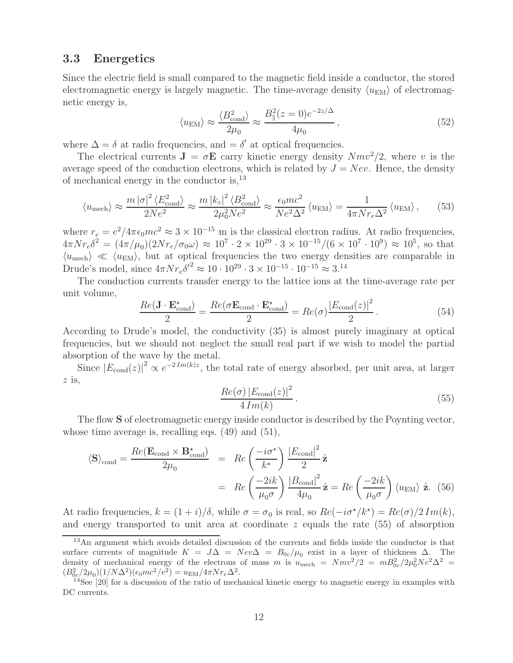## **3.3 Energetics**

Since the electric field is small compared to the magnetic field inside a conductor, the stored electromagnetic energy is largely magnetic. The time-average density  $\langle u_{\text{EM}} \rangle$  of electromagnetic energy is,

$$
\langle u_{\rm EM} \rangle \approx \frac{\langle B_{\rm cond}^2 \rangle}{2\mu_0} \approx \frac{B_{\parallel}^2 (z=0)e^{-2z/\Delta}}{4\mu_0},\tag{52}
$$

where  $\Delta = \delta$  at radio frequencies, and  $= \delta'$  at optical frequencies.

The electrical currents  $J = \sigma E$  carry kinetic energy density  $Nmv^2/2$ , where v is the average speed of the conduction electrons, which is related by  $J = New$ . Hence, the density of mechanical energy in the conductor is,<sup>13</sup>

$$
\langle u_{\text{mech}} \rangle \approx \frac{m \left| \sigma \right|^2 \langle E_{\text{cond}}^2 \rangle}{2Ne^2} \approx \frac{m \left| k_z \right|^2 \langle B_{\text{cond}}^2 \rangle}{2\mu_0^2 Ne^2} \approx \frac{\epsilon_0 mc^2}{Ne^2 \Delta^2} \langle u_{\text{EM}} \rangle = \frac{1}{4\pi N r_e \Delta^2} \langle u_{\text{EM}} \rangle, \qquad (53)
$$

where  $r_e = e^2/4\pi\epsilon_0 mc^2 \approx 3 \times 10^{-15}$  m is the classical electron radius. At radio frequencies,  $4\pi N r_e \delta^2 = (4\pi/\mu_0)(2N r_e/\sigma_0 \omega) \approx 10^7 \cdot 2 \times 10^{29} \cdot 3 \times 10^{-15}/(6 \times 10^7 \cdot 10^9) \approx 10^5$ , so that  $\langle u_{\text{mech}} \rangle \ll \langle u_{\text{EM}} \rangle$ , but at optical frequencies the two energy densities are comparable in Drude's model, since  $4\pi N r_e \delta'^2 \approx 10 \cdot 10^{29} \cdot 3 \times 10^{-15} \cdot 10^{-15} \approx 3^{14}$ 

The conduction currents transfer energy to the lattice ions at the time-average rate per unit volume,

$$
\frac{Re(\mathbf{J} \cdot \mathbf{E}_{\text{cond}}^{\star})}{2} = \frac{Re(\sigma \mathbf{E}_{\text{cond}} \cdot \mathbf{E}_{\text{cond}}^{\star})}{2} = Re(\sigma) \frac{|E_{\text{cond}}(z)|^2}{2}.
$$
 (54)

According to Drude's model, the conductivity (35) is almost purely imaginary at optical frequencies, but we should not neglect the small real part if we wish to model the partial absorption of the wave by the metal.

Since  $|E_{\text{cond}}(z)|^2 \propto e^{-2Im(k)z}$ , the total rate of energy absorbed, per unit area, at larger  $z$  is,

$$
\frac{Re(\sigma) |E_{\text{cond}}(z)|^2}{4 Im(k)}.
$$
\n(55)

The flow **S** of electromagnetic energy inside conductor is described by the Poynting vector, whose time average is, recalling eqs.  $(49)$  and  $(51)$ ,

$$
\langle \mathbf{S} \rangle_{\text{cond}} = \frac{Re(\mathbf{E}_{\text{cond}} \times \mathbf{B}_{\text{cond}}^*)}{2\mu_0} = Re\left(\frac{-i\sigma^*}{k^*}\right) \frac{|E_{\text{cond}}|^2}{2} \hat{\mathbf{z}}
$$

$$
= Re\left(\frac{-2ik}{\mu_0 \sigma}\right) \frac{|B_{\text{cond}}|^2}{4\mu_0} \hat{\mathbf{z}} = Re\left(\frac{-2ik}{\mu_0 \sigma}\right) \langle u_{\text{EM}} \rangle \hat{\mathbf{z}}. (56)
$$

At radio frequencies,  $k = (1 + i)/\delta$ , while  $\sigma = \sigma_0$  is real, so  $Re(-i\sigma^{\star}/k^{\star}) = Re(\sigma)/2 Im(k)$ , and energy transported to unit area at coordinate  $z$  equals the rate  $(55)$  of absorption

<sup>13</sup>An argument which avoids detailed discussion of the currents and fields inside the conductor is that surface currents of magnitude  $K = J\Delta = New\Delta = B_{0c}/\mu_0$  exist in a layer of thickness  $\Delta$ . The density of mechanical energy of the electrons of mass m is  $u_{\text{mech}} = Nmv^2/2 = mB_{0c}^2/2\mu_0^2Ne^2\Delta^2$  $(B_{0c}^2/2\mu_0)(1/N\Delta^2)(\epsilon$ 

<sup>&</sup>lt;sup>14</sup>See [20] for a discussion of the ratio of mechanical kinetic energy to magnetic energy in examples with DC currents.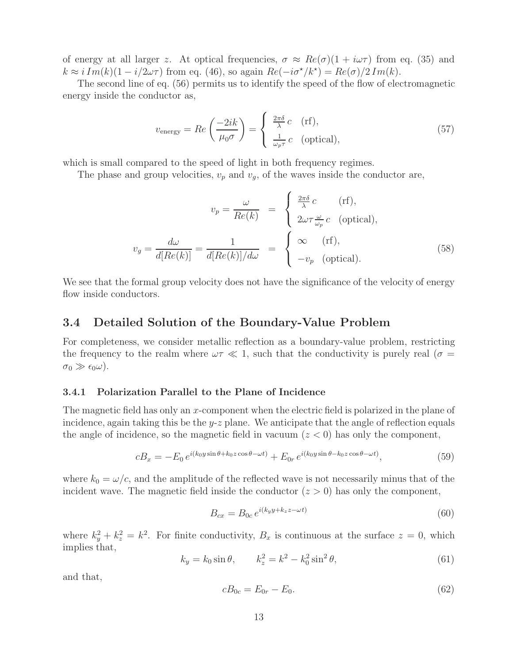of energy at all larger z. At optical frequencies,  $\sigma \approx Re(\sigma)(1 + i\omega\tau)$  from eq. (35) and  $k \approx i \, Im(k)(1 - i/2\omega\tau)$  from eq. (46), so again  $Re(-i\sigma^{\star}/k^{\star}) = Re(\sigma)/2 \, Im(k)$ .

The second line of eq. (56) permits us to identify the speed of the flow of electromagnetic energy inside the conductor as,

$$
v_{\text{energy}} = Re\left(\frac{-2ik}{\mu_0 \sigma}\right) = \begin{cases} \frac{2\pi\delta}{\lambda} c & \text{(rf)},\\ \frac{1}{\omega_p \tau} c & \text{(optical)}, \end{cases}
$$
(57)

which is small compared to the speed of light in both frequency regimes.

The phase and group velocities,  $v_p$  and  $v_q$ , of the waves inside the conductor are,

$$
v_p = \frac{\omega}{Re(k)} = \begin{cases} \frac{2\pi\delta}{\lambda}c & \text{(rf)},\\ 2\omega\tau\frac{\omega}{\omega_p}c & \text{(optical)}, \end{cases}
$$

$$
v_g = \frac{d\omega}{d[Re(k)]} = \frac{1}{d[Re(k)]/d\omega} = \begin{cases} \infty & \text{(rf)},\\ -v_p & \text{(optical)}. \end{cases}
$$
(58)

We see that the formal group velocity does not have the significance of the velocity of energy flow inside conductors.

## **3.4 Detailed Solution of the Boundary-Value Problem**

For completeness, we consider metallic reflection as a boundary-value problem, restricting the frequency to the realm where  $\omega \tau \ll 1$ , such that the conductivity is purely real ( $\sigma =$  $\sigma_0 \gg \epsilon_0 \omega$ .

### **3.4.1 Polarization Parallel to the Plane of Incidence**

The magnetic field has only an x-component when the electric field is polarized in the plane of incidence, again taking this be the  $y-z$  plane. We anticipate that the angle of reflection equals the angle of incidence, so the magnetic field in vacuum  $(z < 0)$  has only the component,

$$
cB_x = -E_0 e^{i(k_0 y \sin \theta + k_0 z \cos \theta - \omega t)} + E_{0r} e^{i(k_0 y \sin \theta - k_0 z \cos \theta - \omega t)},
$$
\n
$$
(59)
$$

where  $k_0 = \omega/c$ , and the amplitude of the reflected wave is not necessarily minus that of the incident wave. The magnetic field inside the conductor  $(z > 0)$  has only the component,

$$
B_{cx} = B_{0c} e^{i(k_y y + k_z z - \omega t)}
$$
\n
$$
(60)
$$

where  $k_y^2 + k_z^2 = k^2$ . For finite conductivity,  $B_x$  is continuous at the surface  $z = 0$ , which implies that,

$$
k_y = k_0 \sin \theta, \qquad k_z^2 = k^2 - k_0^2 \sin^2 \theta,
$$
 (61)

and that,

$$
cB_{0c} = E_{0r} - E_0. \t\t(62)
$$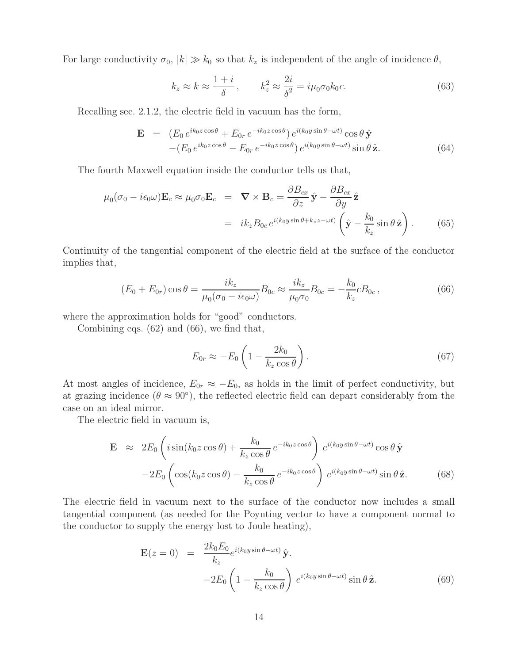For large conductivity  $\sigma_0$ ,  $|k| \gg k_0$  so that  $k_z$  is independent of the angle of incidence  $\theta$ ,

$$
k_z \approx k \approx \frac{1+i}{\delta}, \qquad k_z^2 \approx \frac{2i}{\delta^2} = i\mu_0 \sigma_0 k_0 c. \tag{63}
$$

Recalling sec. 2.1.2, the electric field in vacuum has the form,

$$
\mathbf{E} = (E_0 e^{ik_0 z \cos \theta} + E_{0r} e^{-ik_0 z \cos \theta}) e^{i(k_0 y \sin \theta - \omega t)} \cos \theta \hat{\mathbf{y}} -(E_0 e^{ik_0 z \cos \theta} - E_{0r} e^{-ik_0 z \cos \theta}) e^{i(k_0 y \sin \theta - \omega t)} \sin \theta \hat{\mathbf{z}}.
$$
(64)

The fourth Maxwell equation inside the conductor tells us that,

$$
\mu_0(\sigma_0 - i\epsilon_0 \omega) \mathbf{E}_c \approx \mu_0 \sigma_0 \mathbf{E}_c = \nabla \times \mathbf{B}_c = \frac{\partial B_{cx}}{\partial z} \hat{\mathbf{y}} - \frac{\partial B_{cx}}{\partial y} \hat{\mathbf{z}}
$$
\n
$$
= ik_z B_{0c} e^{i(k_0 y \sin \theta + k_z z - \omega t)} \left( \hat{\mathbf{y}} - \frac{k_0}{k_z} \sin \theta \hat{\mathbf{z}} \right). \tag{65}
$$

Continuity of the tangential component of the electric field at the surface of the conductor implies that,

$$
(E_0 + E_{0r}) \cos \theta = \frac{ik_z}{\mu_0 (\sigma_0 - i\epsilon_0 \omega)} B_{0c} \approx \frac{ik_z}{\mu_0 \sigma_0} B_{0c} = -\frac{k_0}{k_z} c B_{0c}, \qquad (66)
$$

where the approximation holds for "good" conductors.

Combining eqs. (62) and (66), we find that,

$$
E_{0r} \approx -E_0 \left( 1 - \frac{2k_0}{k_z \cos \theta} \right). \tag{67}
$$

At most angles of incidence,  $E_{0r} \approx -E_0$ , as holds in the limit of perfect conductivity, but at grazing incidence ( $\theta \approx 90^{\circ}$ ), the reflected electric field can depart considerably from the case on an ideal mirror.

The electric field in vacuum is,

$$
\mathbf{E} \approx 2E_0 \left( i \sin(k_0 z \cos \theta) + \frac{k_0}{k_z \cos \theta} e^{-ik_0 z \cos \theta} \right) e^{i(k_0 y \sin \theta - \omega t)} \cos \theta \,\hat{\mathbf{y}} \n-2E_0 \left( \cos(k_0 z \cos \theta) - \frac{k_0}{k_z \cos \theta} e^{-ik_0 z \cos \theta} \right) e^{i(k_0 y \sin \theta - \omega t)} \sin \theta \,\hat{\mathbf{z}}.
$$
\n(68)

The electric field in vacuum next to the surface of the conductor now includes a small tangential component (as needed for the Poynting vector to have a component normal to the conductor to supply the energy lost to Joule heating),

$$
\mathbf{E}(z=0) = \frac{2k_0 E_0}{k_z} e^{i(k_0 y \sin \theta - \omega t)} \hat{\mathbf{y}}.
$$
  
-2E<sub>0</sub>  $\left(1 - \frac{k_0}{k_z \cos \theta}\right) e^{i(k_0 y \sin \theta - \omega t)} \sin \theta \hat{\mathbf{z}}.$  (69)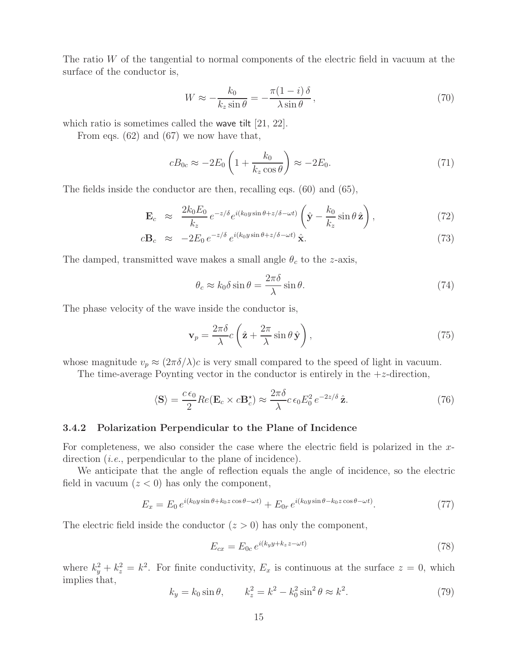The ratio W of the tangential to normal components of the electric field in vacuum at the surface of the conductor is,

$$
W \approx -\frac{k_0}{k_z \sin \theta} = -\frac{\pi (1 - i) \delta}{\lambda \sin \theta},\tag{70}
$$

which ratio is sometimes called the wave tilt [21, 22].

From eqs. (62) and (67) we now have that,

$$
cB_{0c} \approx -2E_0 \left( 1 + \frac{k_0}{k_z \cos \theta} \right) \approx -2E_0. \tag{71}
$$

The fields inside the conductor are then, recalling eqs. (60) and (65),

$$
\mathbf{E}_c \approx \frac{2k_0 E_0}{k_z} e^{-z/\delta} e^{i(k_0 y \sin \theta + z/\delta - \omega t)} \left( \hat{\mathbf{y}} - \frac{k_0}{k_z} \sin \theta \,\hat{\mathbf{z}} \right), \tag{72}
$$

$$
c\mathbf{B}_c \approx -2E_0 e^{-z/\delta} e^{i(k_0 y \sin \theta + z/\delta - \omega t)} \hat{\mathbf{x}}.
$$
\n(73)

The damped, transmitted wave makes a small angle  $\theta_c$  to the z-axis,

$$
\theta_c \approx k_0 \delta \sin \theta = \frac{2\pi \delta}{\lambda} \sin \theta. \tag{74}
$$

The phase velocity of the wave inside the conductor is,

$$
\mathbf{v}_p = \frac{2\pi\delta}{\lambda}c\left(\hat{\mathbf{z}} + \frac{2\pi}{\lambda}\sin\theta\,\hat{\mathbf{y}}\right),\tag{75}
$$

whose magnitude  $v_p \approx (2\pi\delta/\lambda)c$  is very small compared to the speed of light in vacuum.

The time-average Poynting vector in the conductor is entirely in the  $+z$ -direction,

$$
\langle \mathbf{S} \rangle = \frac{c \epsilon_0}{2} Re(\mathbf{E}_c \times c\mathbf{B}_c^*) \approx \frac{2\pi \delta}{\lambda} c \epsilon_0 E_0^2 e^{-2z/\delta} \hat{\mathbf{z}}.
$$
 (76)

#### **3.4.2 Polarization Perpendicular to the Plane of Incidence**

For completeness, we also consider the case where the electric field is polarized in the xdirection *(i.e.*, perpendicular to the plane of incidence).

We anticipate that the angle of reflection equals the angle of incidence, so the electric field in vacuum  $(z < 0)$  has only the component,

$$
E_x = E_0 e^{i(k_0 y \sin \theta + k_0 z \cos \theta - \omega t)} + E_{0r} e^{i(k_0 y \sin \theta - k_0 z \cos \theta - \omega t)}.
$$
 (77)

The electric field inside the conductor  $(z > 0)$  has only the component,

$$
E_{cx} = E_{0c} e^{i(k_y y + k_z z - \omega t)}
$$
\n(78)

where  $k_y^2 + k_z^2 = k^2$ . For finite conductivity,  $E_x$  is continuous at the surface  $z = 0$ , which implies that,

$$
k_y = k_0 \sin \theta, \qquad k_z^2 = k^2 - k_0^2 \sin^2 \theta \approx k^2. \tag{79}
$$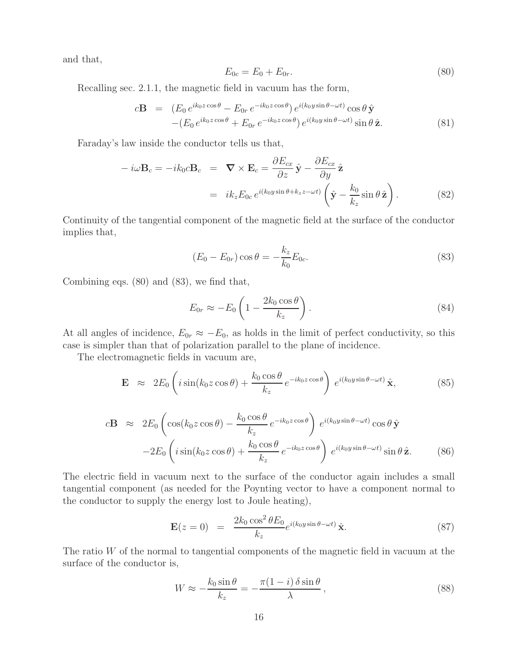and that,

$$
E_{0c} = E_0 + E_{0r}.
$$
\n(80)

Recalling sec. 2.1.1, the magnetic field in vacuum has the form,

$$
c\mathbf{B} = (E_0 e^{ik_0 z \cos \theta} - E_{0r} e^{-ik_0 z \cos \theta}) e^{i(k_0 y \sin \theta - \omega t)} \cos \theta \hat{\mathbf{y}} -(E_0 e^{ik_0 z \cos \theta} + E_{0r} e^{-ik_0 z \cos \theta}) e^{i(k_0 y \sin \theta - \omega t)} \sin \theta \hat{\mathbf{z}}.
$$
 (81)

Faraday's law inside the conductor tells us that,

$$
-i\omega \mathbf{B}_c = -ik_0 c \mathbf{B}_c = \nabla \times \mathbf{E}_c = \frac{\partial E_{cx}}{\partial z} \hat{\mathbf{y}} - \frac{\partial E_{cx}}{\partial y} \hat{\mathbf{z}}
$$
  

$$
= ik_z E_{0c} e^{i(k_0 y \sin \theta + k_z z - \omega t)} \left( \hat{\mathbf{y}} - \frac{k_0}{k_z} \sin \theta \hat{\mathbf{z}} \right).
$$
 (82)

Continuity of the tangential component of the magnetic field at the surface of the conductor implies that,

$$
(E_0 - E_{0r}) \cos \theta = -\frac{k_z}{k_0} E_{0c}.
$$
\n(83)

Combining eqs. (80) and (83), we find that,

$$
E_{0r} \approx -E_0 \left( 1 - \frac{2k_0 \cos \theta}{k_z} \right). \tag{84}
$$

At all angles of incidence,  $E_{0r} \approx -E_0$ , as holds in the limit of perfect conductivity, so this case is simpler than that of polarization parallel to the plane of incidence.

The electromagnetic fields in vacuum are,

$$
\mathbf{E} \approx 2E_0 \left( i \sin(k_0 z \cos \theta) + \frac{k_0 \cos \theta}{k_z} e^{-ik_0 z \cos \theta} \right) e^{i(k_0 y \sin \theta - \omega t)} \hat{\mathbf{x}}, \tag{85}
$$

$$
c\mathbf{B} \approx 2E_0 \left( \cos(k_0 z \cos \theta) - \frac{k_0 \cos \theta}{k_z} e^{-ik_0 z \cos \theta} \right) e^{i(k_0 y \sin \theta - \omega t)} \cos \theta \,\hat{\mathbf{y}} - 2E_0 \left( i \sin(k_0 z \cos \theta) + \frac{k_0 \cos \theta}{k_z} e^{-ik_0 z \cos \theta} \right) e^{i(k_0 y \sin \theta - \omega t)} \sin \theta \,\hat{\mathbf{z}}.
$$
 (86)

The electric field in vacuum next to the surface of the conductor again includes a small tangential component (as needed for the Poynting vector to have a component normal to the conductor to supply the energy lost to Joule heating),

$$
\mathbf{E}(z=0) = \frac{2k_0 \cos^2 \theta E_0}{k_z} e^{i(k_0 y \sin \theta - \omega t)} \hat{\mathbf{x}}.
$$
 (87)

The ratio  $W$  of the normal to tangential components of the magnetic field in vacuum at the surface of the conductor is,

$$
W \approx -\frac{k_0 \sin \theta}{k_z} = -\frac{\pi (1 - i) \delta \sin \theta}{\lambda},
$$
\n(88)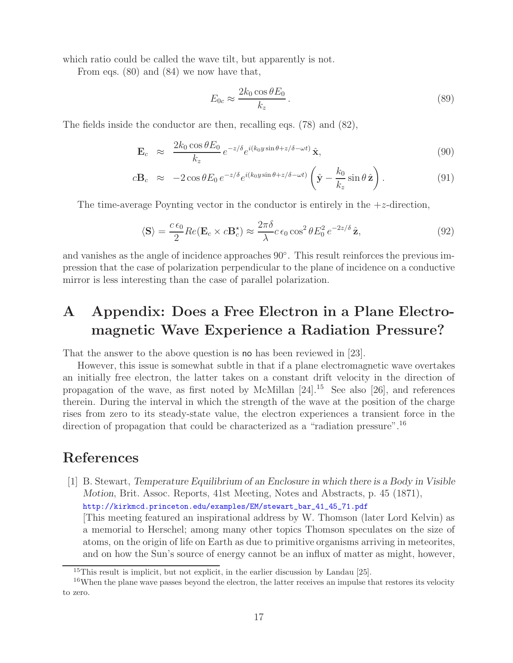which ratio could be called the wave tilt, but apparently is not.

From eqs. (80) and (84) we now have that,

$$
E_{0c} \approx \frac{2k_0 \cos \theta E_0}{k_z} \,. \tag{89}
$$

The fields inside the conductor are then, recalling eqs. (78) and (82),

$$
\mathbf{E}_c \approx \frac{2k_0 \cos \theta E_0}{k_z} e^{-z/\delta} e^{i(k_0 y \sin \theta + z/\delta - \omega t)} \hat{\mathbf{x}}, \tag{90}
$$

$$
c\mathbf{B}_c \approx -2\cos\theta E_0 \, e^{-z/\delta} e^{i(k_0 y \sin\theta + z/\delta - \omega t)} \left(\hat{\mathbf{y}} - \frac{k_0}{k_z} \sin\theta \,\hat{\mathbf{z}}\right). \tag{91}
$$

The time-average Poynting vector in the conductor is entirely in the  $+z$ -direction,

$$
\langle \mathbf{S} \rangle = \frac{c \epsilon_0}{2} Re(\mathbf{E}_c \times c\mathbf{B}_c^*) \approx \frac{2\pi \delta}{\lambda} c \epsilon_0 \cos^2 \theta E_0^2 e^{-2z/\delta} \hat{\mathbf{z}},\tag{92}
$$

and vanishes as the angle of incidence approaches 90◦. This result reinforces the previous impression that the case of polarization perpendicular to the plane of incidence on a conductive mirror is less interesting than the case of parallel polarization.

# **A Appendix: Does a Free Electron in a Plane Electromagnetic Wave Experience a Radiation Pressure?**

That the answer to the above question is no has been reviewed in [23].

However, this issue is somewhat subtle in that if a plane electromagnetic wave overtakes an initially free electron, the latter takes on a constant drift velocity in the direction of propagation of the wave, as first noted by McMillan  $[24]$ .<sup>15</sup> See also [26], and references therein. During the interval in which the strength of the wave at the position of the charge rises from zero to its steady-state value, the electron experiences a transient force in the direction of propagation that could be characterized as a "radiation pressure".<sup>16</sup>

## **References**

[1] B. Stewart, *Temperature Equilibrium of an Enclosure in which there is a Body in Visible Motion*, Brit. Assoc. Reports, 41st Meeting, Notes and Abstracts, p. 45 (1871),

http://kirkmcd.princeton.edu/examples/EM/stewart\_bar\_41\_45\_71.pdf

[This meeting featured an inspirational address by W. Thomson (later Lord Kelvin) as a memorial to Herschel; among many other topics Thomson speculates on the size of atoms, on the origin of life on Earth as due to primitive organisms arriving in meteorites, and on how the Sun's source of energy cannot be an influx of matter as might, however,

<sup>&</sup>lt;sup>15</sup>This result is implicit, but not explicit, in the earlier discussion by Landau [25].

<sup>&</sup>lt;sup>16</sup>When the plane wave passes beyond the electron, the latter receives an impulse that restores its velocity to zero.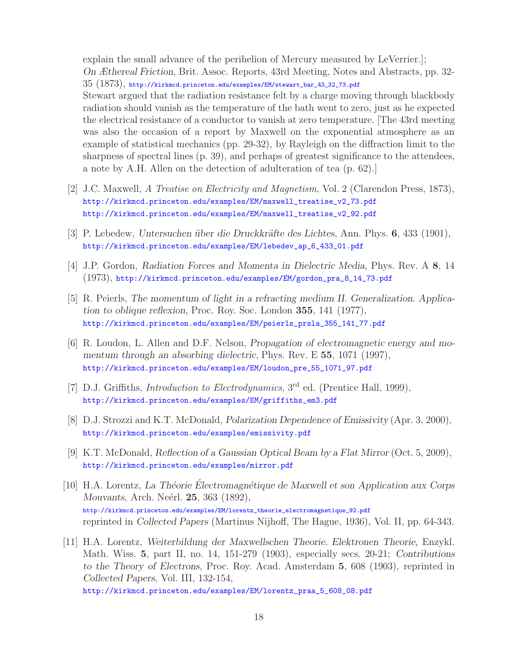explain the small advance of the perihelion of Mercury measured by LeVerrier.]; *On Æthereal Friction*, Brit. Assoc. Reports, 43rd Meeting, Notes and Abstracts, pp. 32- 35 (1873), http://kirkmcd.princeton.edu/examples/EM/stewart\_bar\_43\_32\_73.pdf Stewart argued that the radiation resistance felt by a charge moving through blackbody radiation should vanish as the temperature of the bath went to zero, just as he expected the electrical resistance of a conductor to vanish at zero temperature. [The 43rd meeting was also the occasion of a report by Maxwell on the exponential atmosphere as an example of statistical mechanics (pp. 29-32), by Rayleigh on the diffraction limit to the sharpness of spectral lines (p. 39), and perhaps of greatest significance to the attendees, a note by A.H. Allen on the detection of adulteration of tea (p. 62).]

- [2] J.C. Maxwell, *A Treatise on Electricity and Magnetism*, Vol. 2 (Clarendon Press, 1873), http://kirkmcd.princeton.edu/examples/EM/maxwell\_treatise\_v2\_73.pdf http://kirkmcd.princeton.edu/examples/EM/maxwell\_treatise\_v2\_92.pdf
- [3] P. Lebedew, *Untersuchen über die Druckkräfte des Lichtes*, Ann. Phys. **6**, 433 (1901), http://kirkmcd.princeton.edu/examples/EM/lebedev\_ap\_6\_433\_01.pdf
- [4] J.P. Gordon, *Radiation Forces and Momenta in Dielectric Media*, Phys. Rev. A **8**, 14 (1973), http://kirkmcd.princeton.edu/examples/EM/gordon\_pra\_8\_14\_73.pdf
- [5] R. Peierls, *The momentum of light in a refracting medium II. Generalization. Application to oblique reflexion*, Proc. Roy. Soc. London **355**, 141 (1977), http://kirkmcd.princeton.edu/examples/EM/peierls\_prsla\_355\_141\_77.pdf
- [6] R. Loudon, L. Allen and D.F. Nelson, *Propagation of electromagnetic energy and momentum through an absorbing dielectric*, Phys. Rev. E **55**, 1071 (1997), http://kirkmcd.princeton.edu/examples/EM/loudon\_pre\_55\_1071\_97.pdf
- [7] D.J. Griffiths, *Introduction to Electrodynamics*, 3<sup>rd</sup> ed. (Prentice Hall, 1999), http://kirkmcd.princeton.edu/examples/EM/griffiths\_em3.pdf
- [8] D.J. Strozzi and K.T. McDonald, *Polarization Dependence of Emissivity* (Apr. 3, 2000), http://kirkmcd.princeton.edu/examples/emissivity.pdf
- [9] K.T. McDonald, *Reflection of a Gaussian Optical Beam by a Flat Mirror* (Oct. 5, 2009), http://kirkmcd.princeton.edu/examples/mirror.pdf
- [10] H.A. Lorentz, *La Th´eorie Electromagn´ ´ etique de Maxwell et son Application aux Corps Mouvants*, Arch. Neérl. **25**, 363 (1892), http://kirkmcd.princeton.edu/examples/EM/lorentz\_theorie\_electromagnetique\_92.pdf reprinted in *Collected Papers* (Martinus Nijhoff, The Hague, 1936), Vol. II, pp. 64-343.
- [11] H.A. Lorentz, *Weiterbildung der Maxwellschen Theorie. Elektronen Theorie*, Enzykl. Math. Wiss. **5**, part II, no. 14, 151-279 (1903), especially secs. 20-21; *Contributions to the Theory of Electrons*, Proc. Roy. Acad. Amsterdam **5**, 608 (1903), reprinted in *Collected Papers*, Vol. III, 132-154,

http://kirkmcd.princeton.edu/examples/EM/lorentz\_praa\_5\_608\_08.pdf